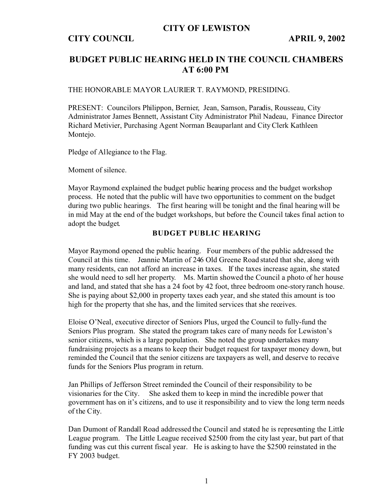### **CITY OF LEWISTON**

### **CITY COUNCIL APRIL 9, 2002**

# **BUDGET PUBLIC HEARING HELD IN THE COUNCIL CHAMBERS AT 6:00 PM**

THE HONORABLE MAYOR LAURIER T. RAYMOND, PRESIDING.

PRESENT: Councilors Philippon, Bernier, Jean, Samson, Paradis, Rousseau, City Administrator James Bennett, Assistant City Administrator Phil Nadeau, Finance Director Richard Metivier, Purchasing Agent Norman Beauparlant and City Clerk Kathleen Montejo.

Pledge of Allegiance to the Flag.

Moment of silence.

Mayor Raymond explained the budget public hearing process and the budget workshop process. He noted that the public will have two opportunities to comment on the budget during two public hearings. The first hearing will be tonight and the final hearing will be in mid May at the end of the budget workshops, but before the Council takes final action to adopt the budget.

#### **BUDGET PUBLIC HEARING**

Mayor Raymond opened the public hearing. Four members of the public addressed the Council at this time. Jeannie Martin of 246 Old Greene Road stated that she, along with many residents, can not afford an increase in taxes. If the taxes increase again, she stated she would need to sell her property. Ms. Martin showed the Council a photo of her house and land, and stated that she has a 24 foot by 42 foot, three bedroom one-story ranch house. She is paying about \$2,000 in property taxes each year, and she stated this amount is too high for the property that she has, and the limited services that she receives.

Eloise O'Neal, executive director of Seniors Plus, urged the Council to fully-fund the Seniors Plus program. She stated the program takes care of many needs for Lewiston's senior citizens, which is a large population. She noted the group undertakes many fundraising projects as a means to keep their budget request for taxpayer money down, but reminded the Council that the senior citizens are taxpayers as well, and deserve to receive funds for the Seniors Plus program in return.

Jan Phillips of Jefferson Street reminded the Council of their responsibility to be visionaries for the City. She asked them to keep in mind the incredible power that government has on it's citizens, and to use it responsibility and to view the long term needs of the City.

Dan Dumont of Randall Road addressed the Council and stated he is representing the Little League program. The Little League received \$2500 from the city last year, but part of that funding was cut this current fiscal year. He is asking to have the \$2500 reinstated in the FY 2003 budget.